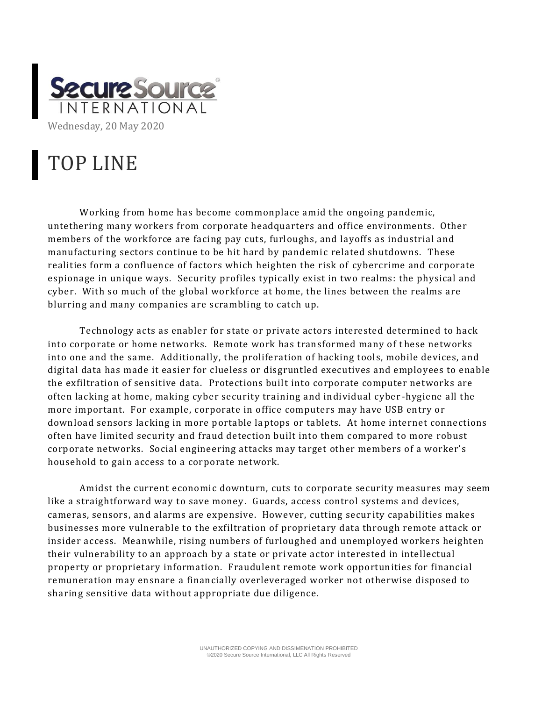

## TOP LINE

Working from home has become commonplace amid the ongoing pandemic, untethering many workers from corporate headquarters and office environments. Other members of the workforce are facing pay cuts, furloughs, and layoffs as industrial and manufacturing sectors continue to be hit hard by pandemic related shutdowns. These realities form a confluence of factors which heighten the risk of cybercrime and corporate espionage in unique ways. Security profiles typically exist in two realms: the physical and cyber. With so much of the global workforce at home, the lines between the realms are blurring and many companies are scrambling to catch up.

Technology acts as enabler for state or private actors interested determined to hack into corporate or home networks. Remote work has transformed many of these networks into one and the same. Additionally, the proliferation of hacking tools, mobile devices, and digital data has made it easier for clueless or disgruntled executives and employees to enable the exfiltration of sensitive data. Protections built into corporate computer networks are often lacking at home, making cyber security training and individual cyber -hygiene all the more important. For example, corporate in office computers may have USB entry or download sensors lacking in more portable laptops or tablets. At home internet connections often have limited security and fraud detection built into them compared to more robust corporate networks. Social engineering attacks may target other members of a worker's household to gain access to a corporate network.

Amidst the current economic downturn, cuts to corporate security measures may seem like a straightforward way to save money. Guards, access control systems and devices, cameras, sensors, and alarms are expensive. However, cutting secur ity capabilities makes businesses more vulnerable to the exfiltration of proprietary data through remote attack or insider access. Meanwhile, rising numbers of furloughed and unemployed workers heighten their vulnerability to an approach by a state or pri vate actor interested in intellectual property or proprietary information. Fraudulent remote work opportunities for financial remuneration may ensnare a financially overleveraged worker not otherwise disposed to sharing sensitive data without appropriate due diligence.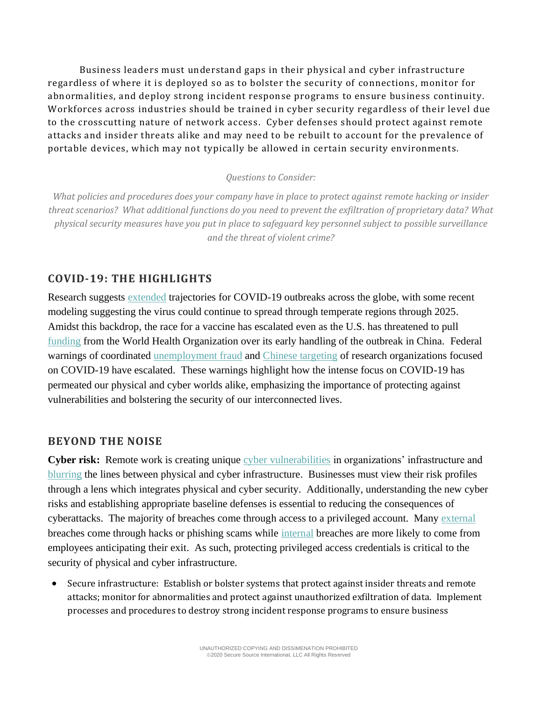Business leaders must understand gaps in their physical and cyber infrastructure regardless of where it is deployed so as to bolster the security of connections, monitor for abnormalities, and deploy strong incident response programs to ensure business continuity. Workforces across industries should be trained in cyber security regardless of their level due to the crosscutting nature of network access . Cyber defenses should protect against remote attacks and insider threats alike and may need to be rebuilt to account for the prevalence of portable devices, which may not typically be allowed in certain security environments.

## *Questions to Consider:*

*What policies and procedures does your company have in place to protect against remote hacking or insider threat scenarios? What additional functions do you need to prevent the exfiltration of proprietary data? What physical security measures have you put in place to safeguard key personnel subject to possible surveillance and the threat of violent crime?*

## **COVID-19: THE HIGHLIGHTS**

Research suggests [extended](https://www.cidrap.umn.edu/news-perspective/2020/05/physical-distancing-may-extend-2022-covid-19-study-finds) trajectories for COVID-19 outbreaks across the globe, with some recent modeling suggesting the virus could continue to spread through temperate regions through 2025. Amidst this backdrop, the race for a vaccine has escalated even as the U.S. has threatened to pull [funding](https://www.nytimes.com/2020/05/18/us/coronavirus-updates.html?campaign_id=60&emc=edit_na_20200518&instance_id=0&nl=breaking-news&ref=headline®i_id=125234924&segment_id=28376&user_id=ef951501096fac815b2c4160edd0a3b8) from the World Health Organization over its early handling of the outbreak in China. Federal warnings of coordinated [unemployment fraud](https://www.nytimes.com/2020/05/16/us/coronavirus-unemployment-fraud-secret-service-washington.html) and [Chinese targeting](https://www.fbi.gov/news/pressrel/press-releases/peoples-republic-of-china-prc-targeting-of-covid-19-research-organizations) of research organizations focused on COVID-19 have escalated. These warnings highlight how the intense focus on COVID-19 has permeated our physical and cyber worlds alike, emphasizing the importance of protecting against vulnerabilities and bolstering the security of our interconnected lives.

## **BEYOND THE NOISE**

**Cyber risk:** Remote work is creating unique [cyber vulnerabilities](https://www.weforum.org/agenda/2020/04/why-covid-19-is-making-utilities-more-vulnerable-to-cyberattack-and-what-to-do-about-it/) in organizations' infrastructure and [blurring](https://www.forbes.com/sites/moorinsights/2020/04/23/covid-19-the-monster-that-made-security-the-priority/#7d3c85777eae) the lines between physical and cyber infrastructure. Businesses must view their risk profiles through a lens which integrates physical and cyber security. Additionally, understanding the new cyber risks and establishing appropriate baseline defenses is essential to reducing the consequences of cyberattacks. The majority of breaches come through access to a privileged account. Many [external](https://www.forbes.com/sites/louiscolumbus/2020/05/10/protecting-privileged-identities-in-a-post-covid-19-world/#4af175f5603c) breaches come through hacks or phishing scams while [internal](https://www.zdnet.com/article/flight-risk-employees-involved-in-60-of-insider-cybersecurity-incidents/) breaches are more likely to come from employees anticipating their exit. As such, protecting privileged access credentials is critical to the security of physical and cyber infrastructure.

• Secure infrastructure: Establish or bolster systems that protect against insider threats and remote attacks; monitor for abnormalities and protect against unauthorized exfiltration of data. Implement processes and procedures to destroy strong incident response programs to ensure business